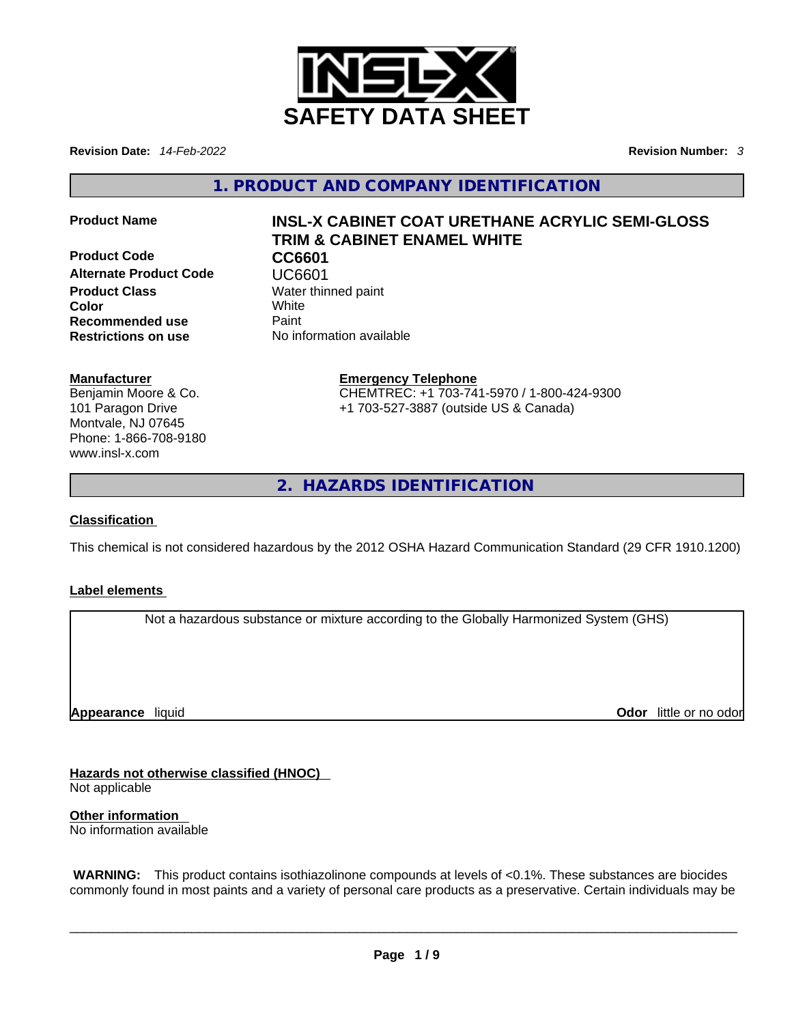

**Revision Date:** *14-Feb-2022* **Revision Number:** *3*

**1. PRODUCT AND COMPANY IDENTIFICATION** 

**Product Code CC6601 Alternate Product Code UC6601**<br> **Product Class** Water thin **Color Recommended use** Paint<br> **Restrictions on use** No inf

### **Manufacturer**

Benjamin Moore & Co. 101 Paragon Drive Montvale, NJ 07645 Phone: 1-866-708-9180 www.insl-x.com

# **Product Name INSL-X CABINET COAT URETHANE ACRYLIC SEMI-GLOSS TRIM & CABINET ENAMEL WHITE**

**Water thinned paint**<br>White **Restrictions on use** No information available

> **Emergency Telephone** CHEMTREC: +1 703-741-5970 / 1-800-424-9300 +1 703-527-3887 (outside US & Canada)

**2. HAZARDS IDENTIFICATION** 

### **Classification**

This chemical is not considered hazardous by the 2012 OSHA Hazard Communication Standard (29 CFR 1910.1200)

### **Label elements**

Not a hazardous substance or mixture according to the Globally Harmonized System (GHS)

**Appearance** liquid

**Odor** little or no odor

**Hazards not otherwise classified (HNOC)**  Not applicable

**Other information**  No information available

 **WARNING:** This product contains isothiazolinone compounds at levels of <0.1%. These substances are biocides commonly found in most paints and a variety of personal care products as a preservative. Certain individuals may be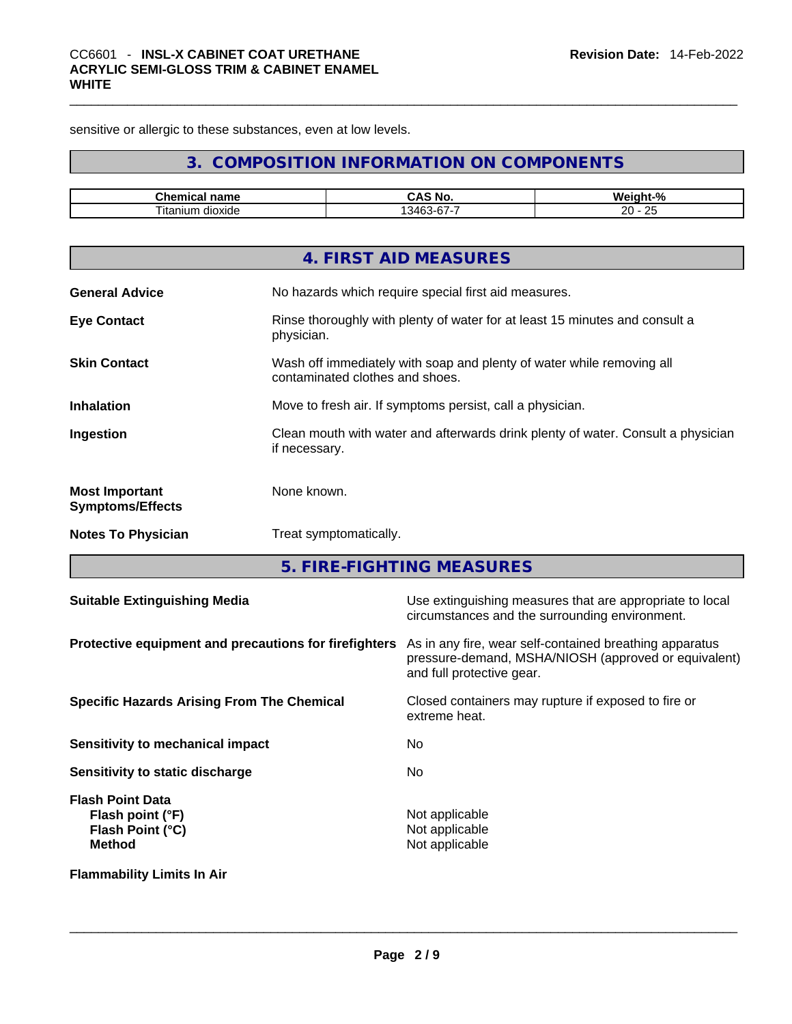sensitive or allergic to these substances, even at low levels.

## **3. COMPOSITION INFORMATION ON COMPONENTS**

| $- - -$      | NI/                                                   | $\Omega$<br>w.<br>70                                   |
|--------------|-------------------------------------------------------|--------------------------------------------------------|
| dioxide<br>ш | $\sim$ $\sim$ $\sim$ $\sim$ $\sim$ $\sim$ $\sim$<br>. | $\Omega$<br>חה<br><u>_</u><br>$ -$<br>$\sim$<br>$\sim$ |

|                                                  | 4. FIRST AID MEASURES                                                                                    |
|--------------------------------------------------|----------------------------------------------------------------------------------------------------------|
| <b>General Advice</b>                            | No hazards which require special first aid measures.                                                     |
| <b>Eye Contact</b>                               | Rinse thoroughly with plenty of water for at least 15 minutes and consult a<br>physician.                |
| <b>Skin Contact</b>                              | Wash off immediately with soap and plenty of water while removing all<br>contaminated clothes and shoes. |
| <b>Inhalation</b>                                | Move to fresh air. If symptoms persist, call a physician.                                                |
| Ingestion                                        | Clean mouth with water and afterwards drink plenty of water. Consult a physician<br>if necessary.        |
| <b>Most Important</b><br><b>Symptoms/Effects</b> | None known.                                                                                              |
| <b>Notes To Physician</b>                        | Treat symptomatically.                                                                                   |

**5. FIRE-FIGHTING MEASURES** 

| <b>Suitable Extinguishing Media</b>                                              | Use extinguishing measures that are appropriate to local<br>circumstances and the surrounding environment.                                   |
|----------------------------------------------------------------------------------|----------------------------------------------------------------------------------------------------------------------------------------------|
| Protective equipment and precautions for firefighters                            | As in any fire, wear self-contained breathing apparatus<br>pressure-demand, MSHA/NIOSH (approved or equivalent)<br>and full protective gear. |
| <b>Specific Hazards Arising From The Chemical</b>                                | Closed containers may rupture if exposed to fire or<br>extreme heat.                                                                         |
| Sensitivity to mechanical impact                                                 | No.                                                                                                                                          |
| Sensitivity to static discharge                                                  | No                                                                                                                                           |
| <b>Flash Point Data</b><br>Flash point (°F)<br>Flash Point (°C)<br><b>Method</b> | Not applicable<br>Not applicable<br>Not applicable                                                                                           |
| <b>Flammability Limits In Air</b>                                                |                                                                                                                                              |
|                                                                                  |                                                                                                                                              |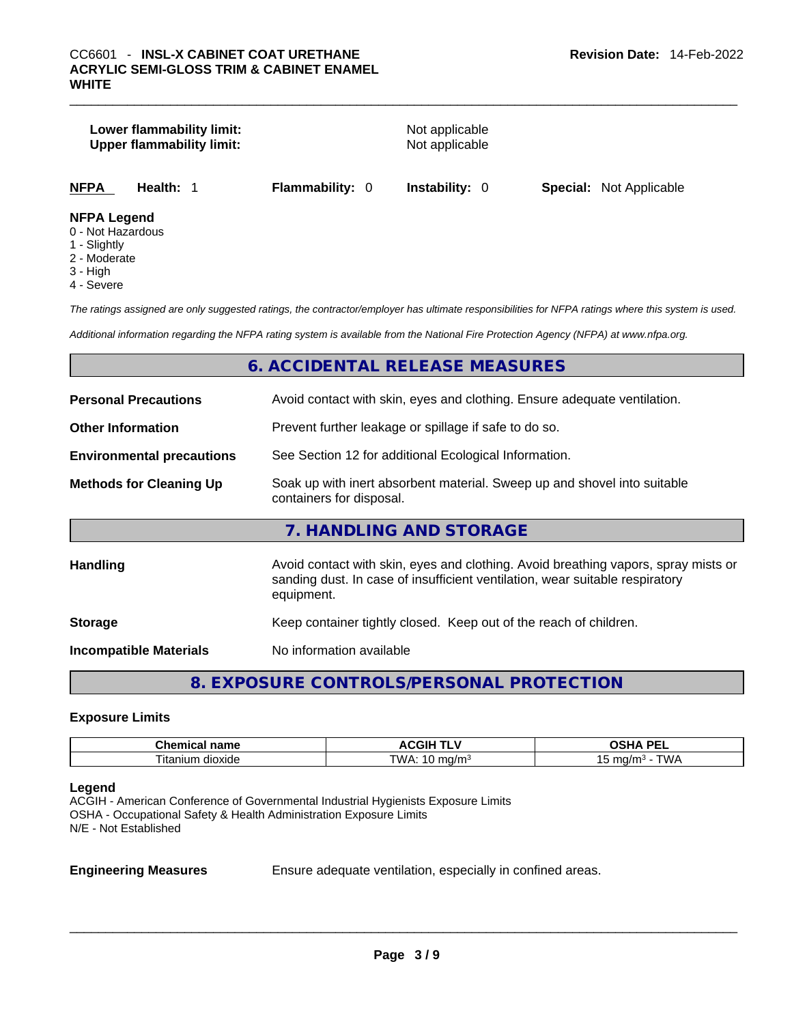# **Lower flammability limit:** Not applicable **Upper flammability limit:** Not applicable *The ratings assigned are only suggested ratings, the contractor/employer has ultimate responsibilities for NFPA ratings where this system is used. Additional information regarding the NFPA rating system is available from the National Fire Protection Agency (NFPA) at www.nfpa.org.*  **6. ACCIDENTAL RELEASE MEASURES Personal Precautions Avoid contact with skin, eyes and clothing. Ensure adequate ventilation. NFPA Health:** 1 **Flammability:** 0 **Instability:** 0 **Special:** Not Applicable **NFPA Legend** 0 - Not Hazardous 1 - Slightly 2 - Moderate 3 - High 4 - Severe

| Personal Precautions             | Avoid contact with skin, eyes and clothing. Ensure adequate ventilation.                                                                                                         |
|----------------------------------|----------------------------------------------------------------------------------------------------------------------------------------------------------------------------------|
| <b>Other Information</b>         | Prevent further leakage or spillage if safe to do so.                                                                                                                            |
| <b>Environmental precautions</b> | See Section 12 for additional Ecological Information.                                                                                                                            |
| <b>Methods for Cleaning Up</b>   | Soak up with inert absorbent material. Sweep up and shovel into suitable<br>containers for disposal.                                                                             |
|                                  | 7. HANDLING AND STORAGE                                                                                                                                                          |
| <b>Handling</b>                  | Avoid contact with skin, eyes and clothing. Avoid breathing vapors, spray mists or<br>sanding dust. In case of insufficient ventilation, wear suitable respiratory<br>equipment. |
| <b>Storage</b>                   | Keep container tightly closed. Keep out of the reach of children.                                                                                                                |
| <b>Incompatible Materials</b>    | No information available                                                                                                                                                         |
|                                  |                                                                                                                                                                                  |

## **8. EXPOSURE CONTROLS/PERSONAL PROTECTION**

### **Exposure Limits**

| ---<br>юше<br>u       | эυ<br><br>. . | <b>DEI</b><br>--      |
|-----------------------|---------------|-----------------------|
| ioxide<br>הווור<br>Цc | ™             | TM/A<br>.<br><b>.</b> |

### **Legend**

ACGIH - American Conference of Governmental Industrial Hygienists Exposure Limits OSHA - Occupational Safety & Health Administration Exposure Limits N/E - Not Established

**Engineering Measures** Ensure adequate ventilation, especially in confined areas.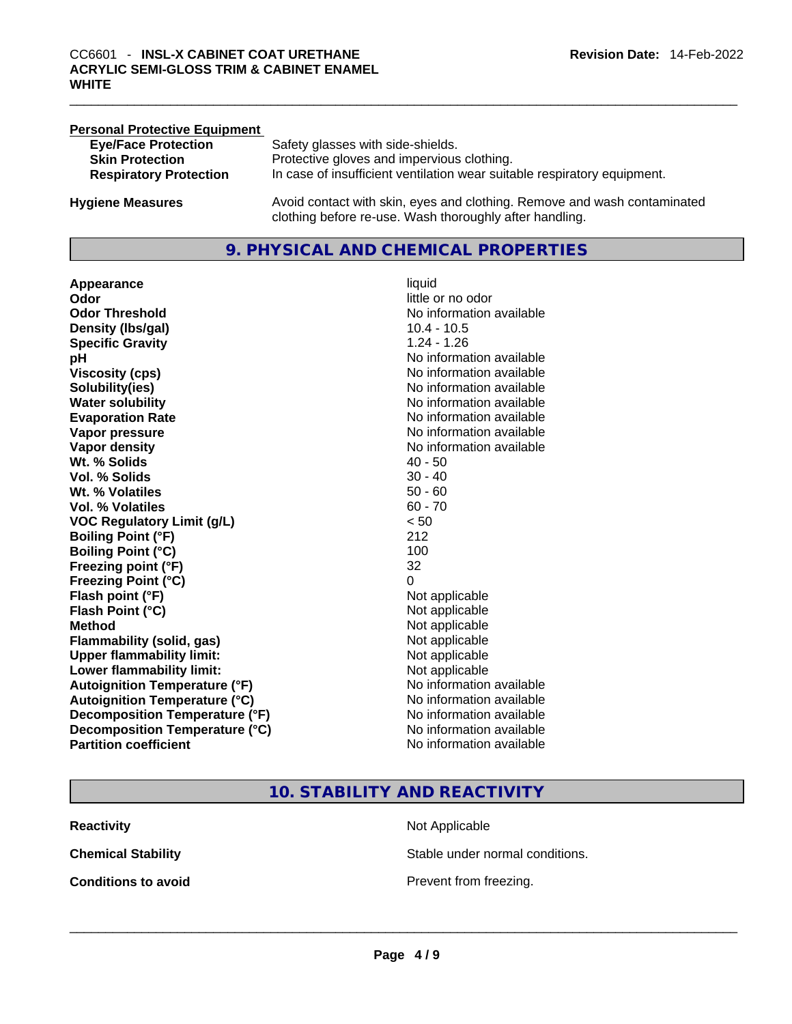| <b>Personal Protective Equipment</b> |                                                                                                                                     |
|--------------------------------------|-------------------------------------------------------------------------------------------------------------------------------------|
| <b>Eye/Face Protection</b>           | Safety glasses with side-shields.                                                                                                   |
| <b>Skin Protection</b>               | Protective gloves and impervious clothing.                                                                                          |
| <b>Respiratory Protection</b>        | In case of insufficient ventilation wear suitable respiratory equipment.                                                            |
| <b>Hygiene Measures</b>              | Avoid contact with skin, eyes and clothing. Remove and wash contaminated<br>clothing before re-use. Wash thoroughly after handling. |

### **9. PHYSICAL AND CHEMICAL PROPERTIES**

**Appearance** liquid **Odor**<br> **Odor Threshold**<br> **Odor Threshold**<br> **CODOR**<br> **CODOR**<br> **CODOR**<br> **CODOR**<br> **CODOR**<br> **CODOR**<br> **CODOR**<br> **CODOR**<br> **CODOR Density (lbs/gal)** 10.4 - 10.5 **Specific Gravity** 1.24 - 1.26 **pH bH** *pH* **Viscosity (cps) Viscosity (cps) No information available Solubility(ies)** No information available **Water solubility No information available No information available Evaporation Rate No information available No information available Vapor pressure No information available No information available Vapor density**<br> **We Solids**<br>
We Solids
2014<br>
2014<br>
2015<br>
2015<br>
2016<br>
2015<br>
2016<br>
2015<br>
2016<br>
2016<br>
2016<br>
2016<br>
2016<br>
2016<br>
2016<br>
2016 **Wt. % Solids 10 - 50 - 40 - 50 - 40 - 40 - 50 - 40 - 50 - 40 - 50 - 40 - 50 - 40 - 50 - 40 - 50 - 40 - 50 - 40 Vol. % Solids Wt. % Volatiles** 50 - 60 **Vol. % Volatiles** 60 - 70 **VOC Regulatory Limit (g/L)** < 50 **Boiling Point (°F)** 212 **Boiling Point (°C)** 100 **Freezing point (°F)** 32 **Freezing Point (°C)** 0 **Flash point (°F)** Not applicable **Flash Point (°C)** Not applicable **Method**<br> **Plammability (solid, gas)**<br> **Plammability (solid, gas)**<br> **Not applicable Flammability** (solid, gas) **Upper flammability limit:**<br> **Lower flammability limit:** Not applicable Not applicable **Lower flammability limit:**<br> **Autoignition Temperature (°F)** Not applicable have not available **Autoignition Temperature (°F) Autoignition Temperature (°C)** No information available **Decomposition Temperature (°F)** No information available **Decomposition Temperature (°C)** No information available **Partition coefficient** No information available

# **No information available**

**10. STABILITY AND REACTIVITY** 

**Conditions to avoid**<br> **Example 2018**<br> **Conditions to avoid**<br> **Example 2018**<br> **Prevent from freezing.** 

**Reactivity Not Applicable Not Applicable Chemical Stability** Stable under normal conditions.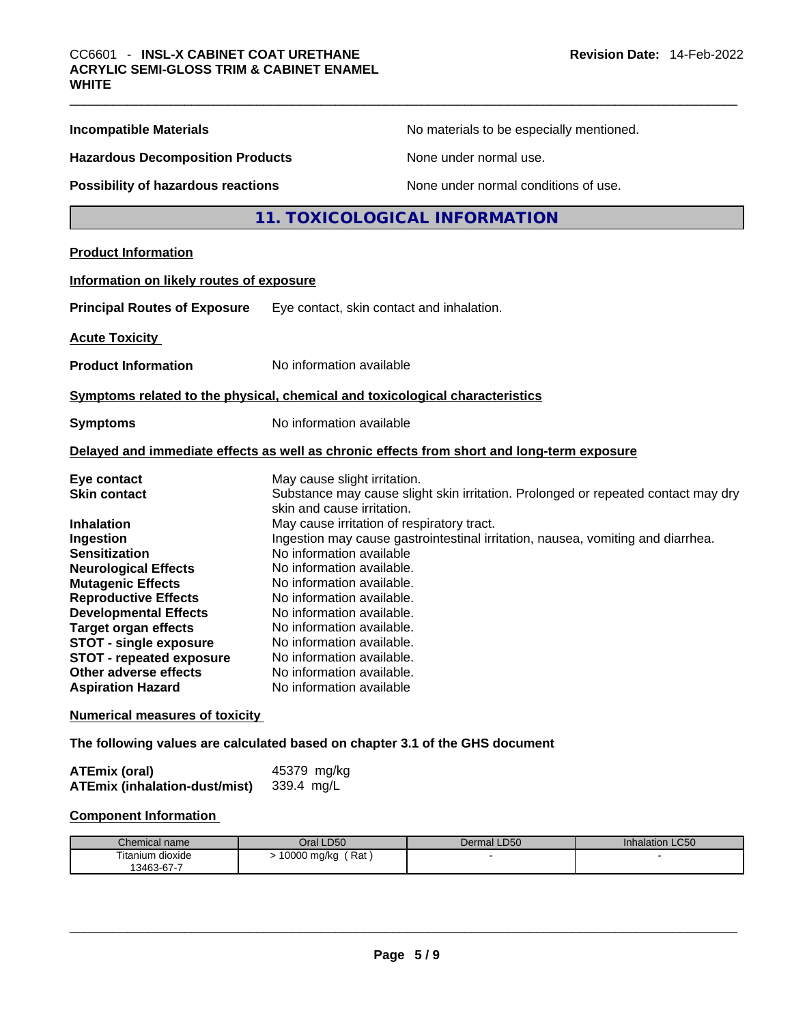| <b>Incompatible Materials</b>            | No materials to be especially mentioned.                                                                          |  |
|------------------------------------------|-------------------------------------------------------------------------------------------------------------------|--|
| <b>Hazardous Decomposition Products</b>  | None under normal use.                                                                                            |  |
| Possibility of hazardous reactions       | None under normal conditions of use.                                                                              |  |
|                                          | 11. TOXICOLOGICAL INFORMATION                                                                                     |  |
| <b>Product Information</b>               |                                                                                                                   |  |
| Information on likely routes of exposure |                                                                                                                   |  |
| <b>Principal Routes of Exposure</b>      | Eye contact, skin contact and inhalation.                                                                         |  |
| <b>Acute Toxicity</b>                    |                                                                                                                   |  |
| <b>Product Information</b>               | No information available                                                                                          |  |
|                                          | Symptoms related to the physical, chemical and toxicological characteristics                                      |  |
| <b>Symptoms</b>                          | No information available                                                                                          |  |
|                                          | Delayed and immediate effects as well as chronic effects from short and long-term exposure                        |  |
| Eye contact<br><b>Skin contact</b>       | May cause slight irritation.<br>Substance may cause slight skin irritation. Prolonged or repeated contact may dry |  |
|                                          | skin and cause irritation.                                                                                        |  |
| <b>Inhalation</b>                        | May cause irritation of respiratory tract.                                                                        |  |
| Ingestion<br><b>Sensitization</b>        | Ingestion may cause gastrointestinal irritation, nausea, vomiting and diarrhea.<br>No information available       |  |
| <b>Neurological Effects</b>              | No information available.                                                                                         |  |
| <b>Mutagenic Effects</b>                 | No information available.                                                                                         |  |
| <b>Reproductive Effects</b>              | No information available.                                                                                         |  |
| <b>Developmental Effects</b>             | No information available.                                                                                         |  |
| <b>Target organ effects</b>              | No information available.                                                                                         |  |
| <b>STOT - single exposure</b>            | No information available.                                                                                         |  |
| <b>STOT - repeated exposure</b>          | No information available.                                                                                         |  |
| Other adverse effects                    | No information available.                                                                                         |  |
| <b>Aspiration Hazard</b>                 | No information available                                                                                          |  |
| <b>Numerical measures of toxicity</b>    |                                                                                                                   |  |
|                                          |                                                                                                                   |  |

**The following values are calculated based on chapter 3.1 of the GHS document**

| ATEmix (oral)                        | 45379 mg/kg |
|--------------------------------------|-------------|
| <b>ATEmix (inhalation-dust/mist)</b> | 339.4 mg/L  |

### **Component Information**

| Chemical name    | Oral LD50          | Dermal LD50 | <b>Inhalation LC50</b> |
|------------------|--------------------|-------------|------------------------|
| Titanium dioxide | Rat<br>10000 mg/kg |             |                        |
| 13463-67-7       |                    |             |                        |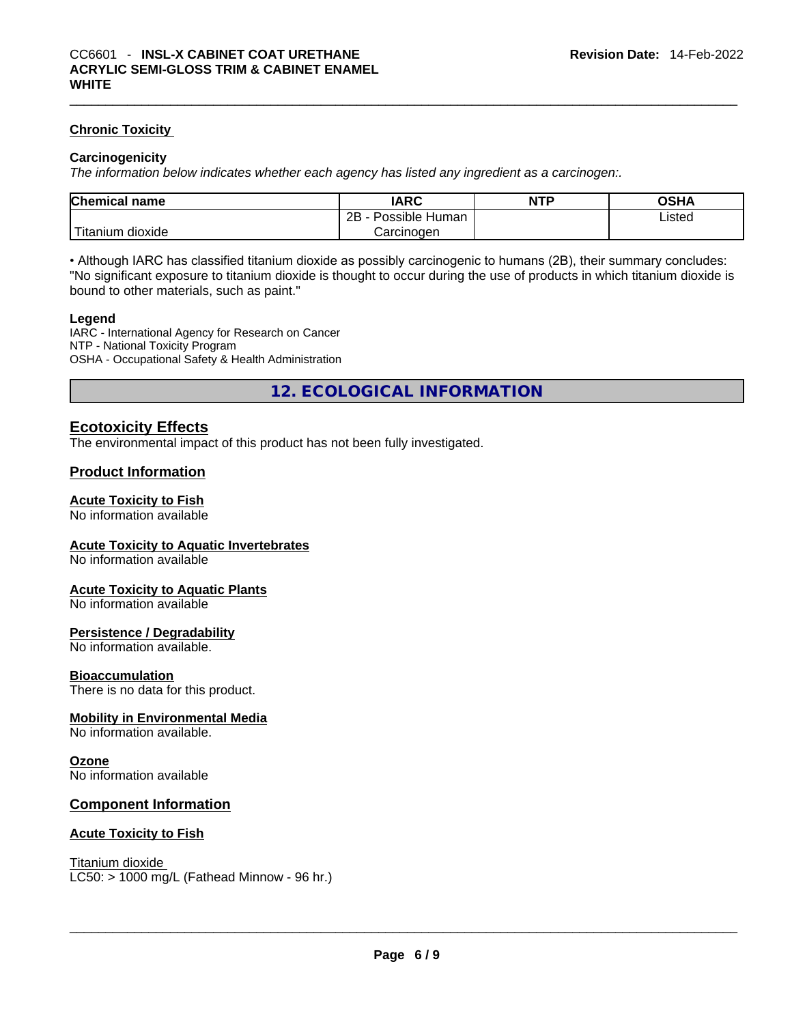### **Chronic Toxicity**

### **Carcinogenicity**

*The information below indicates whether each agency has listed any ingredient as a carcinogen:.* 

| <b>Chemical name</b>    | IARC                 | <b>NTP</b> | OSHA   |  |
|-------------------------|----------------------|------------|--------|--|
|                         | 2Β<br>Possible Human |            | ∟isted |  |
| ` Titanium ⊾<br>dioxide | Carcinoɑen           |            |        |  |

• Although IARC has classified titanium dioxide as possibly carcinogenic to humans (2B), their summary concludes: "No significant exposure to titanium dioxide is thought to occur during the use of products in which titanium dioxide is bound to other materials, such as paint."

### **Legend**

IARC - International Agency for Research on Cancer NTP - National Toxicity Program OSHA - Occupational Safety & Health Administration

**12. ECOLOGICAL INFORMATION** 

### **Ecotoxicity Effects**

The environmental impact of this product has not been fully investigated.

### **Product Information**

### **Acute Toxicity to Fish**

No information available

### **Acute Toxicity to Aquatic Invertebrates**

No information available

### **Acute Toxicity to Aquatic Plants**

No information available

### **Persistence / Degradability**

No information available.

### **Bioaccumulation**

There is no data for this product.

### **Mobility in Environmental Media**

No information available.

### **Ozone**

No information available

### **Component Information**

### **Acute Toxicity to Fish**

Titanium dioxide

 $LC50:$  > 1000 mg/L (Fathead Minnow - 96 hr.)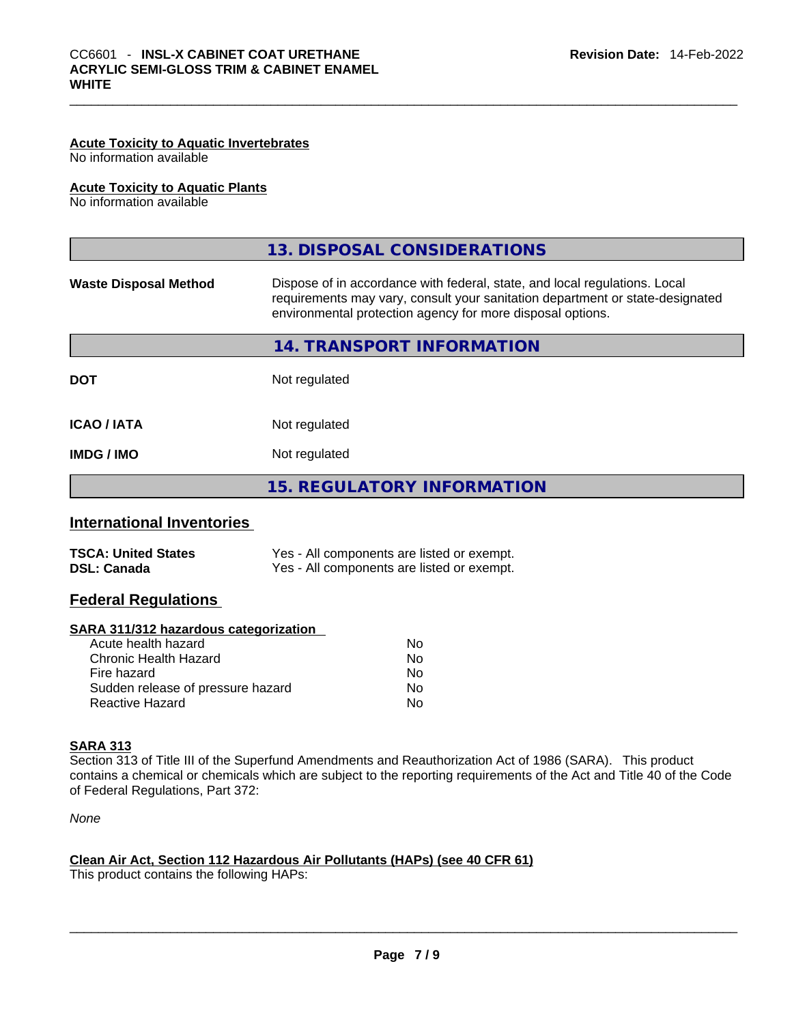### **Acute Toxicity to Aquatic Invertebrates**

No information available

### **Acute Toxicity to Aquatic Plants**

No information available

|                              | 13. DISPOSAL CONSIDERATIONS                                                                                                                                                                                               |
|------------------------------|---------------------------------------------------------------------------------------------------------------------------------------------------------------------------------------------------------------------------|
| <b>Waste Disposal Method</b> | Dispose of in accordance with federal, state, and local regulations. Local<br>requirements may vary, consult your sanitation department or state-designated<br>environmental protection agency for more disposal options. |
|                              | 14. TRANSPORT INFORMATION                                                                                                                                                                                                 |
| <b>DOT</b>                   | Not regulated                                                                                                                                                                                                             |
| <b>ICAO/IATA</b>             | Not regulated                                                                                                                                                                                                             |
| <b>IMDG/IMO</b>              | Not regulated                                                                                                                                                                                                             |
|                              | <b>15. REGULATORY INFORMATION</b>                                                                                                                                                                                         |
| International Inventories    |                                                                                                                                                                                                                           |

### **International Inventories**

| <b>TSCA: United States</b> | Yes - All components are listed or exempt. |
|----------------------------|--------------------------------------------|
| DSL: Canada                | Yes - All components are listed or exempt. |

### **Federal Regulations**

### **SARA 311/312 hazardous categorization**

| Acute health hazard               | No  |  |
|-----------------------------------|-----|--|
| Chronic Health Hazard             | No. |  |
| Fire hazard                       | Nο  |  |
| Sudden release of pressure hazard | Nο  |  |
| Reactive Hazard                   | N∩  |  |
|                                   |     |  |

### **SARA 313**

Section 313 of Title III of the Superfund Amendments and Reauthorization Act of 1986 (SARA). This product contains a chemical or chemicals which are subject to the reporting requirements of the Act and Title 40 of the Code of Federal Regulations, Part 372:

*None*

### **Clean Air Act,Section 112 Hazardous Air Pollutants (HAPs) (see 40 CFR 61)**

This product contains the following HAPs: \_\_\_\_\_\_\_\_\_\_\_\_\_\_\_\_\_\_\_\_\_\_\_\_\_\_\_\_\_\_\_\_\_\_\_\_\_\_\_\_\_\_\_\_\_\_\_\_\_\_\_\_\_\_\_\_\_\_\_\_\_\_\_\_\_\_\_\_\_\_\_\_\_\_\_\_\_\_\_\_\_\_\_\_\_\_\_\_\_\_\_\_\_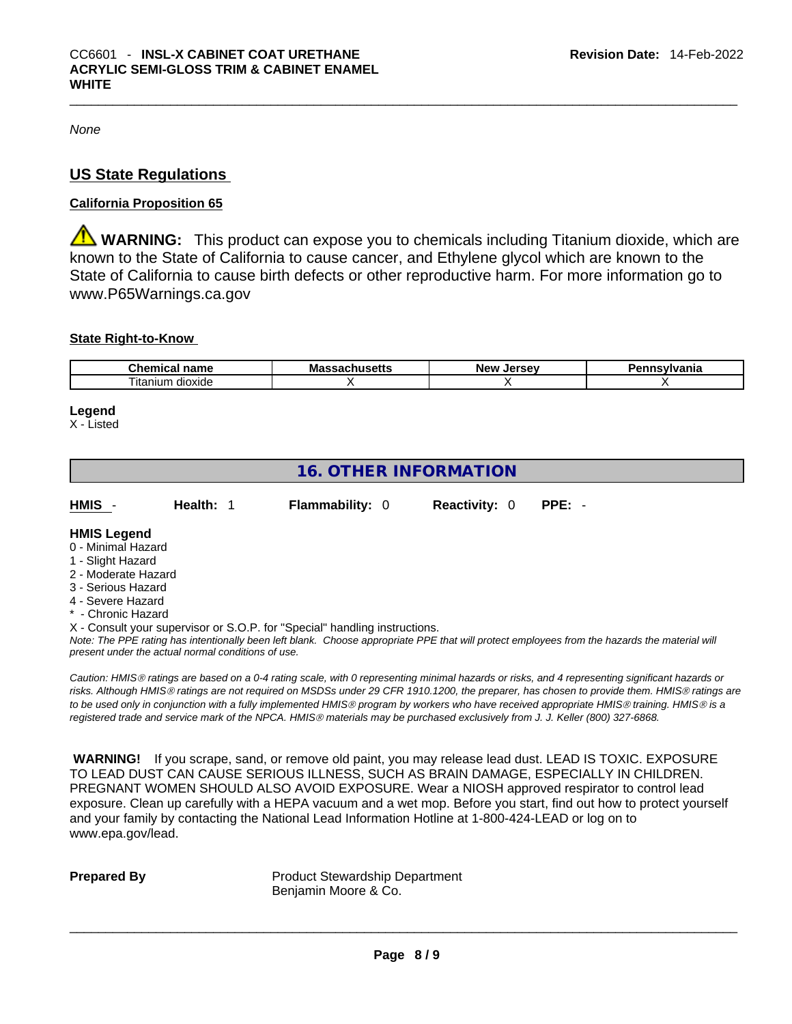*None*

### **US State Regulations**

### **California Proposition 65**

**WARNING:** This product can expose you to chemicals including Titanium dioxide, which are known to the State of California to cause cancer, and Ethylene glycol which are known to the State of California to cause birth defects or other reproductive harm. For more information go to www.P65Warnings.ca.gov

### **State Right-to-Know**

| $\sim$<br>.<br>$  -$<br>. IF<br>ми<br>---<br>$\sim$ | ма<br>コレいこ | <b>Nev</b><br>.lersev | . |
|-----------------------------------------------------|------------|-----------------------|---|
| --<br>l itanıum<br>dioxide                          |            |                       |   |

### **Legend**

X - Listed

### **16. OTHER INFORMATION**

|  | HMIS - | <b>Health: 1</b> | <b>Flammability: 0</b> | <b>Reactivity: 0 PPE: -</b> |  |
|--|--------|------------------|------------------------|-----------------------------|--|
|--|--------|------------------|------------------------|-----------------------------|--|

### **HMIS Legend**

- 0 Minimal Hazard
- 1 Slight Hazard
- 2 Moderate Hazard
- 3 Serious Hazard
- 4 Severe Hazard
- \* Chronic Hazard
- X Consult your supervisor or S.O.P. for "Special" handling instructions.

Note: The PPE rating has intentionally been left blank. Choose appropriate PPE that will protect employees from the hazards the material will *present under the actual normal conditions of use.* 

*Caution: HMISÒ ratings are based on a 0-4 rating scale, with 0 representing minimal hazards or risks, and 4 representing significant hazards or risks. Although HMISÒ ratings are not required on MSDSs under 29 CFR 1910.1200, the preparer, has chosen to provide them. HMISÒ ratings are to be used only in conjunction with a fully implemented HMISÒ program by workers who have received appropriate HMISÒ training. HMISÒ is a registered trade and service mark of the NPCA. HMISÒ materials may be purchased exclusively from J. J. Keller (800) 327-6868.* 

 **WARNING!** If you scrape, sand, or remove old paint, you may release lead dust. LEAD IS TOXIC. EXPOSURE TO LEAD DUST CAN CAUSE SERIOUS ILLNESS, SUCH AS BRAIN DAMAGE, ESPECIALLY IN CHILDREN. PREGNANT WOMEN SHOULD ALSO AVOID EXPOSURE.Wear a NIOSH approved respirator to control lead exposure. Clean up carefully with a HEPA vacuum and a wet mop. Before you start, find out how to protect yourself and your family by contacting the National Lead Information Hotline at 1-800-424-LEAD or log on to www.epa.gov/lead.

**Prepared By Product Stewardship Department** Benjamin Moore & Co.